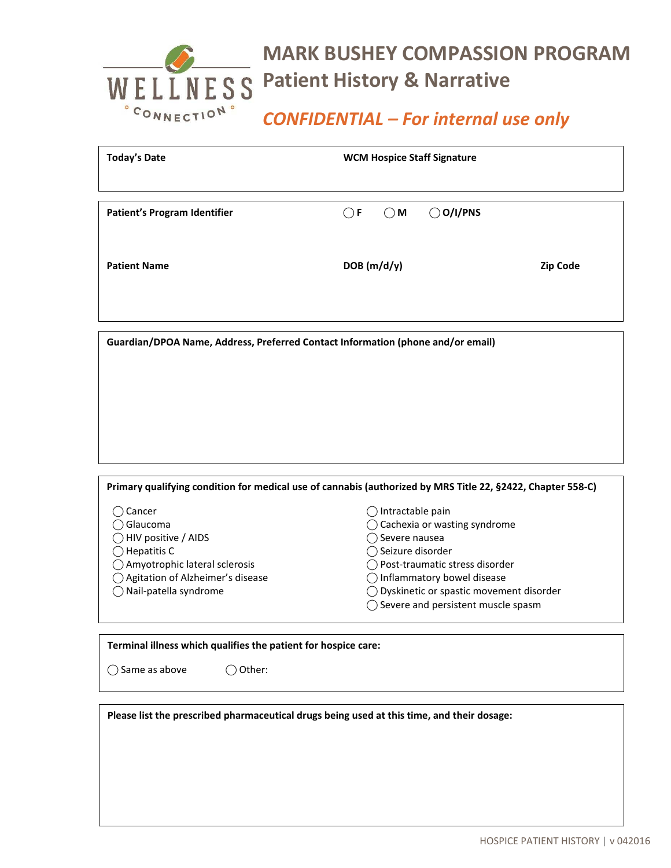## **MARK BUSHEY COMPASSION PROGRAM WELLNESS** Patient History & Narrative *CONFIDENTIAL – For internal use only*

| <b>Today's Date</b>                 | <b>WCM Hospice Staff Signature</b>                 |          |  |
|-------------------------------------|----------------------------------------------------|----------|--|
| <b>Patient's Program Identifier</b> | $\bigcirc$ O/I/PNS<br>$\bigcirc$ M<br>$\bigcirc$ F |          |  |
| <b>Patient Name</b>                 | DOB(m/d/y)                                         | Zip Code |  |
|                                     |                                                    |          |  |

|                                  | Primary qualifying condition for medical use of cannabis (authorized by MRS Title 22, §2422, Chapter 558-C) |
|----------------------------------|-------------------------------------------------------------------------------------------------------------|
|                                  |                                                                                                             |
| Cancer                           | Intractable pain                                                                                            |
| Glaucoma                         | Cachexia or wasting syndrome                                                                                |
| HIV positive / AIDS              | Severe nausea                                                                                               |
| Hepatitis C                      | Seizure disorder                                                                                            |
| Amyotrophic lateral sclerosis    | Post-traumatic stress disorder                                                                              |
| Agitation of Alzheimer's disease | Inflammatory bowel disease                                                                                  |
| Nail-patella syndrome            | Dyskinetic or spastic movement disorder                                                                     |
|                                  | Severe and persistent muscle spasm                                                                          |

**Terminal illness which qualifies the patient for hospice care:** 

 $\bigcirc$  Same as above  $\bigcirc$  Other:

**Please list the prescribed pharmaceutical drugs being used at this time, and their dosage:**

**Guardian/DPOA Name, Address, Preferred Contact Information (phone and/or email)**